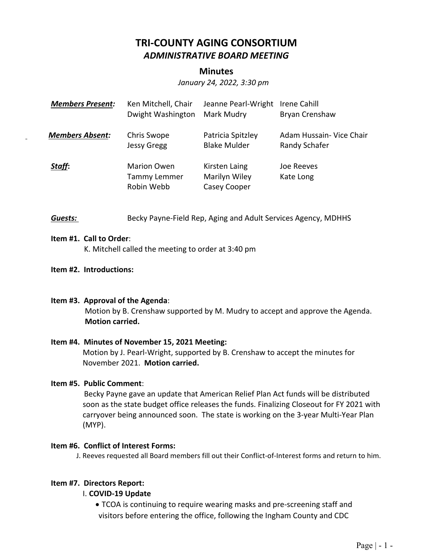# **TRI‐COUNTY AGING CONSORTIUM**  *ADMINISTRATIVE BOARD MEETING*

## **Minutes**

*January 24, 2022, 3:30 pm* 

| <b>Members Present:</b> | Ken Mitchell, Chair<br>Dwight Washington         | Jeanne Pearl-Wright<br>Mark Mudry              | Irene Cahill<br>Bryan Crenshaw            |
|-------------------------|--------------------------------------------------|------------------------------------------------|-------------------------------------------|
| <b>Members Absent:</b>  | Chris Swope<br><b>Jessy Gregg</b>                | Patricia Spitzley<br><b>Blake Mulder</b>       | Adam Hussain- Vice Chair<br>Randy Schafer |
| Staff:                  | <b>Marion Owen</b><br>Tammy Lemmer<br>Robin Webb | Kirsten Laing<br>Marilyn Wiley<br>Casey Cooper | Joe Reeves<br>Kate Long                   |

**Guests: Becky Payne-Field Rep, Aging and Adult Services Agency, MDHHS** 

#### **Item #1. Call to Order**:

K. Mitchell called the meeting to order at 3:40 pm

#### **Item #2. Introductions:**

## **Item #3. Approval of the Agenda**:

Motion by B. Crenshaw supported by M. Mudry to accept and approve the Agenda. **Motion carried.** 

#### **Item #4. Minutes of November 15, 2021 Meeting:**

Motion by J. Pearl‐Wright, supported by B. Crenshaw to accept the minutes for November 2021. **Motion carried.**

## **Item #5. Public Comment**:

 Becky Payne gave an update that American Relief Plan Act funds will be distributed soon as the state budget office releases the funds. Finalizing Closeout for FY 2021 with carryover being announced soon. The state is working on the 3‐year Multi‐Year Plan (MYP).

#### **Item #6. Conflict of Interest Forms:**

J. Reeves requested all Board members fill out their Conflict‐of‐Interest forms and return to him.

## **Item #7. Directors Report:**

## I. **COVID‐19 Update**

■ TCOA is continuing to require wearing masks and pre-screening staff and visitors before entering the office, following the Ingham County and CDC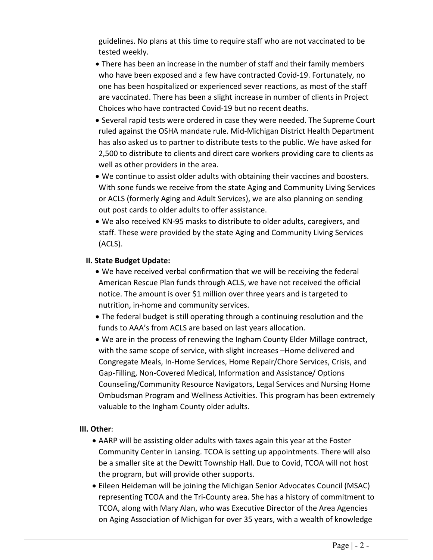guidelines. No plans at this time to require staff who are not vaccinated to be tested weekly.

- There has been an increase in the number of staff and their family members who have been exposed and a few have contracted Covid‐19. Fortunately, no one has been hospitalized or experienced sever reactions, as most of the staff are vaccinated. There has been a slight increase in number of clients in Project Choices who have contracted Covid‐19 but no recent deaths.
- Several rapid tests were ordered in case they were needed. The Supreme Court ruled against the OSHA mandate rule. Mid‐Michigan District Health Department has also asked us to partner to distribute tests to the public. We have asked for 2,500 to distribute to clients and direct care workers providing care to clients as well as other providers in the area.
- We continue to assist older adults with obtaining their vaccines and boosters. With sone funds we receive from the state Aging and Community Living Services or ACLS (formerly Aging and Adult Services), we are also planning on sending out post cards to older adults to offer assistance.
- We also received KN‐95 masks to distribute to older adults, caregivers, and staff. These were provided by the state Aging and Community Living Services (ACLS).

# **II. State Budget Update:**

- We have received verbal confirmation that we will be receiving the federal American Rescue Plan funds through ACLS, we have not received the official notice. The amount is over \$1 million over three years and is targeted to nutrition, in‐home and community services.
- The federal budget is still operating through a continuing resolution and the funds to AAA's from ACLS are based on last years allocation.
- We are in the process of renewing the Ingham County Elder Millage contract, with the same scope of service, with slight increases –Home delivered and Congregate Meals, In‐Home Services, Home Repair/Chore Services, Crisis, and Gap‐Filling, Non‐Covered Medical, Information and Assistance/ Options Counseling/Community Resource Navigators, Legal Services and Nursing Home Ombudsman Program and Wellness Activities. This program has been extremely valuable to the Ingham County older adults.

## **III. Other**:

- AARP will be assisting older adults with taxes again this year at the Foster Community Center in Lansing. TCOA is setting up appointments. There will also be a smaller site at the Dewitt Township Hall. Due to Covid, TCOA will not host the program, but will provide other supports.
- Eileen Heideman will be joining the Michigan Senior Advocates Council (MSAC) representing TCOA and the Tri‐County area. She has a history of commitment to TCOA, along with Mary Alan, who was Executive Director of the Area Agencies on Aging Association of Michigan for over 35 years, with a wealth of knowledge